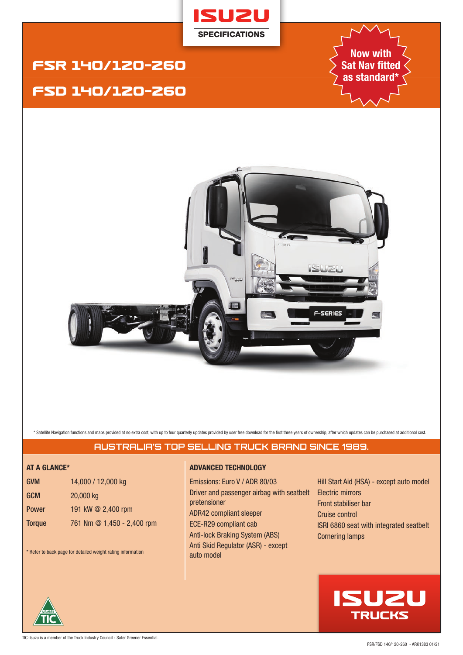

# FSR 14O/12O-26O

# FSD 14O/12O-26O

**Now with Sat Nav fitted as standard\***



\* Satellite Navigation functions and maps provided at no extra cost, with up to four quarterly updates provided by user free download for the first three years of ownership, after which updates can be purchased at addition

# **AUSTRALIA'S TOP SELLING TRUCK BRAND SINCE 1989.**

| <b>GVM</b>    | 14,000 / 12,000 kg         |
|---------------|----------------------------|
| <b>GCM</b>    | 20,000 kg                  |
| <b>Power</b>  | 191 kW @ 2,400 rpm         |
| <b>Torque</b> | 761 Nm @ 1,450 - 2,400 rpm |

\* Refer to back page for detailed weight rating information

### **AT A GLANCE\* ADVANCED TECHNOLOGY**

Emissions: Euro V / ADR 80/03 Driver and passenger airbag with seatbelt pretensioner ADR42 compliant sleeper ECE-R29 compliant cab Anti-lock Braking System (ABS) Anti Skid Regulator (ASR) - except auto model

Hill Start Aid (HSA) - except auto model Electric mirrors Front stabiliser bar Cruise control ISRI 6860 seat with integrated seatbelt Cornering lamps

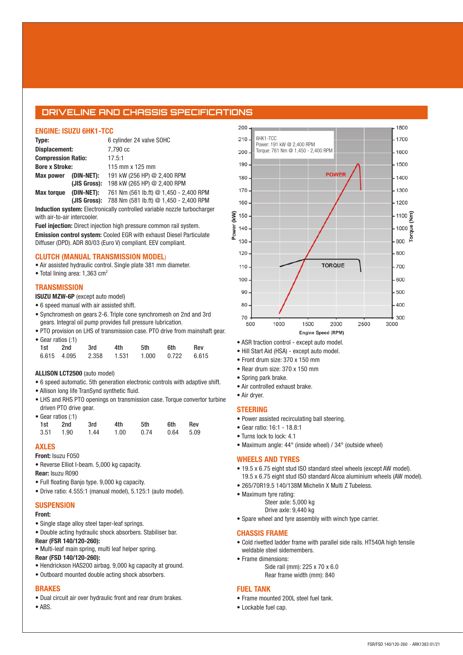## **DRIVELINE AND CHASSIS SPECIFICATIONS**

#### **ENGINE: ISUZU 6HK1-TCC**

| Type:                     |              | 6 cylinder 24 valve SOHC                            |
|---------------------------|--------------|-----------------------------------------------------|
| Displacement:             |              | 7.790 cc                                            |
| <b>Compression Ratio:</b> |              | 17.5:1                                              |
| <b>Bore x Stroke:</b>     |              | 115 mm x 125 mm                                     |
| <b>Max power</b>          | (DIN-NET):   | 191 kW (256 HP) @ 2,400 RPM                         |
|                           | (JIS Gross): | 198 kW (265 HP) @ 2,400 RPM                         |
| <b>Max torque</b>         | (DIN-NET):   | 761 Nm (561 lb.ft) @ 1,450 - 2,400 RPM              |
|                           |              | (JIS Gross): 788 Nm (581 lb.ft) @ 1,450 - 2,400 RPM |

**Induction system:** Electronically controlled variable nozzle turbocharger with air-to-air intercooler.

**Fuel injection:** Direct injection high pressure common rail system. **Emission control system:** Cooled EGR with exhaust Diesel Particulate Diffuser (DPD). ADR 80/03 (Euro V) compliant. EEV compliant.

#### **CLUTCH (MANUAL TRANSMISSION MODEL**)

- Air assisted hydraulic control. Single plate 381 mm diameter.
- Total lining area: 1,363 cm<sup>2</sup>

#### **TRANSMISSION**

- **ISUZU MZW-6P** (except auto model)
- 6 speed manual with air assisted shift.
- Synchromesh on gears 2-6. Triple cone synchromesh on 2nd and 3rd gears. Integral oil pump provides full pressure lubrication.
- PTO provision on LHS of transmission case. PTO drive from mainshaft gear.

| • Gear ratios (:1) |         |                   |       |       |       |            |  |  |  |
|--------------------|---------|-------------------|-------|-------|-------|------------|--|--|--|
|                    | 1st 2nd | 3rd               | 4th   | 5th   | 6th   | <b>Rev</b> |  |  |  |
|                    |         | 6.615 4.095 2.358 | 1.531 | 1.000 | 0.722 | 6.615      |  |  |  |

#### **ALLISON LCT2500** (auto model)

- 6 speed automatic. 5th generation electronic controls with adaptive shift.
- Allison long life TranSynd synthetic fluid.
- LHS and RHS PTO openings on transmission case. Torque convertor turbine driven PTO drive gear.

|      | • Gear ratios (:1) |      |      |      |      |        |
|------|--------------------|------|------|------|------|--------|
| 1st  | 2nd                | 3rd  | 4th  | 5th  | 6th  | Rev    |
| 3.51 | 1.90               | 1.44 | 1.00 | 0.74 | 0.64 | - 5.09 |

#### **AXLES**

**Front:** Isuzu F050

• Reverse Elliot I-beam. 5,000 kg capacity.

- **Rear:** Isuzu R090
- Full floating Banjo type. 9,000 kg capacity.
- Drive ratio: 4.555:1 (manual model), 5.125:1 (auto model).

#### **SUSPENSION**

#### **Front:**

- Single stage alloy steel taper-leaf springs.
- Double acting hydraulic shock absorbers. Stabiliser bar.
- **Rear (FSR 140/120-260):**
- Multi-leaf main spring, multi leaf helper spring.
- **Rear (FSD 140/120-260):**
- Hendrickson HAS200 airbag. 9,000 kg capacity at ground.
- Outboard mounted double acting shock absorbers.

#### **BRAKES**

- Dual circuit air over hydraulic front and rear drum brakes.
- ABS.



- ASR traction control except auto model.
- Hill Start Aid (HSA) except auto model.
- Front drum size: 370 x 150 mm
- Rear drum size: 370 x 150 mm
- Spring park brake.
- Air controlled exhaust brake.
- Air dryer.

#### **STEERING**

- Power assisted recirculating ball steering.
- Gear ratio: 16:1 18.8:1
- Turns lock to lock: 4.1
- Maximum angle: 44° (inside wheel) / 34° (outside wheel)

## **WHEELS AND TYRES**

- 19.5 x 6.75 eight stud ISO standard steel wheels (except AW model). 19.5 x 6.75 eight stud ISO standard Alcoa aluminium wheels (AW model).
- 265/70R19.5 140/138M Michelin X Multi Z Tubeless.
- Maximum tyre rating:
	- Steer axle: 5,000 kg
	- Drive axle: 9,440 kg
- Spare wheel and tyre assembly with winch type carrier.

#### **CHASSIS FRAME**

- Cold rivetted ladder frame with parallel side rails. HT540A high tensile weldable steel sidemembers.
- Frame dimensions: Side rail (mm): 225 x 70 x 6.0 Rear frame width (mm): 840

#### **FUEL TANK**

- Frame mounted 200L steel fuel tank.
- Lockable fuel cap.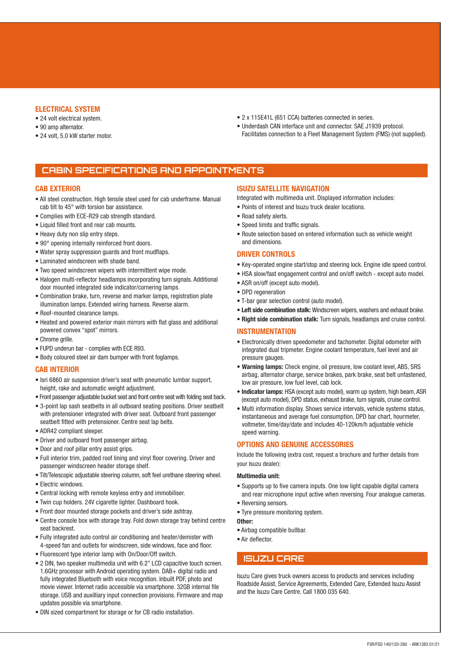#### **ELECTRICAL SYSTEM**

- 24 volt electrical system.
- 90 amp alternator.
- 24 volt, 5.0 kW starter motor.
- 2 x 115E41L (651 CCA) batteries connected in series.
- Underdash CAN interface unit and connector. SAE J1939 protocol. Facilitates connection to a Fleet Management System (FMS) (not supplied).

## **CABIN SPECIFICATIONS AND APPOINTMENTS**

#### **CAB EXTERIOR**

- All steel construction. High tensile steel used for cab underframe. Manual cab tilt to 45° with torsion bar assistance.
- Complies with ECE-R29 cab strength standard.
- Liquid filled front and rear cab mounts.
- Heavy duty non slip entry steps.
- 90° opening internally reinforced front doors.
- Water spray suppression guards and front mudflaps.
- Laminated windscreen with shade band.
- Two speed windscreen wipers with intermittent wipe mode.
- Halogen multi-reflector headlamps incorporating turn signals. Additional door mounted integrated side indicator/cornering lamps.
- Combination brake, turn, reverse and marker lamps, registration plate illumination lamps. Extended wiring harness. Reverse alarm.
- Roof-mounted clearance lamps.
- Heated and powered exterior main mirrors with flat glass and additional powered convex "spot" mirrors.
- Chrome grille.
- FUPD underun bar complies with ECE R93.
- Body coloured steel air dam bumper with front foglamps.

#### **CAB INTERIOR**

- Isri 6860 air suspension driver's seat with pneumatic lumbar support, height, rake and automatic weight adjustment.
- Front passenger adjustable bucket seat and front centre seat with folding seat back.
- 3-point lap sash seatbelts in all outboard seating positions. Driver seatbelt with pretensioner integrated with driver seat. Outboard front passenger seatbelt fitted with pretensioner. Centre seat lap belts.
- ADR42 compliant sleeper.
- Driver and outboard front passenger airbag.
- Door and roof pillar entry assist grips.
- Full interior trim, padded roof lining and vinyl floor covering. Driver and passenger windscreen header storage shelf.
- Tilt/Telescopic adjustable steering column, soft feel urethane steering wheel.
- Electric windows.
- Central locking with remote keyless entry and immobiliser.
- Twin cup holders. 24V cigarette lighter. Dashboard hook.
- Front door mounted storage pockets and driver's side ashtray.
- Centre console box with storage tray. Fold down storage tray behind centre seat backrest.
- Fully integrated auto control air conditioning and heater/demister with 4-speed fan and outlets for windscreen, side windows, face and floor.
- Fluorescent type interior lamp with On/Door/Off switch.
- 2 DIN, two speaker multimedia unit with 6.2" LCD capacitive touch screen. 1.6GHz processor with Android operating system. DAB+ digital radio and fully integrated Bluetooth with voice recognition. Inbuilt PDF, photo and movie viewer. Internet radio accessible via smartphone. 32GB internal file storage. USB and auxilliary input connection provisions. Firmware and map updates possible via smartphone.
- DIN sized compartment for storage or for CB radio installation.

#### **ISUZU SATELLITE NAVIGATION**

Integrated with multimedia unit. Displayed information includes:

- Points of interest and Isuzu truck dealer locations.
- Road safety alerts.
- Speed limits and traffic signals.
- Route selection based on entered information such as vehicle weight and dimensions.

#### **DRIVER CONTROLS**

- Key-operated engine start/stop and steering lock. Engine idle speed control.
- HSA slow/fast engagement control and on/off switch except auto model.
- ASR on/off (except auto model).
- DPD regeneration
- T-bar gear selection control (auto model).
- **Left side combination stalk:** Windscreen wipers, washers and exhaust brake.
- **Right side combination stalk:** Turn signals, headlamps and cruise control.

#### **INSTRUMENTATION**

- Electronically driven speedometer and tachometer. Digital odometer with integrated dual tripmeter. Engine coolant temperature, fuel level and air pressure gauges.
- **Warning lamps:** Check engine, oil pressure, low coolant level, ABS, SRS airbag, alternator charge, service brakes, park brake, seat belt unfastened, low air pressure, low fuel level, cab lock.
- **Indicator lamps:** HSA (except auto model), warm up system, high beam, ASR (except auto model), DPD status, exhaust brake, turn signals, cruise control.
- Multi information display. Shows service intervals, vehicle systems status, instantaneous and average fuel consumption, DPD bar chart, hourmeter, voltmeter, time/day/date and includes 40-120km/h adjustable vehicle speed warning.

#### **OPTIONS AND GENUINE ACCESSORIES**

Include the following (extra cost, request a brochure and further details from your Isuzu dealer):

#### **Multimedia unit:**

- Supports up to five camera inputs. One low light capable digital camera and rear microphone input active when reversing. Four analogue cameras.
- Reversing sensors.
- Tyre pressure monitoring system.

**Other:**

- Airbag compatible bullbar.
- Air deflector.

### **ISUZU CARE**

Isuzu Care gives truck owners access to products and services including Roadside Assist, Service Agreements, Extended Care, Extended Isuzu Assist and the Isuzu Care Centre. Call 1800 035 640.